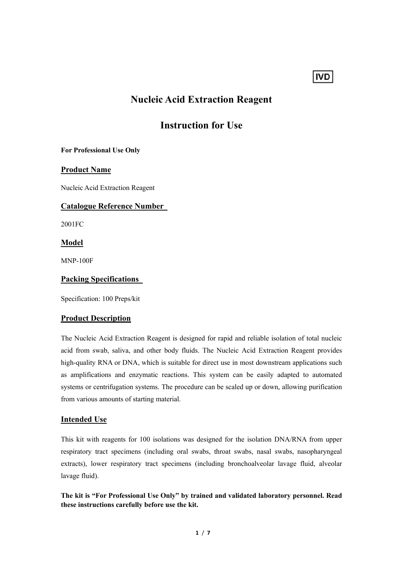# **Nucleic Acid Extraction Reagent**

**IVD** 

# **Instruction for Use**

## **For Professional Use Only**

## **Product Name**

Nucleic Acid Extraction Reagent

## **Catalogue Reference Number**

2001FC

## **Model**

MNP-100F

## **Packing Specifications**

Specification: 100 Preps/kit

#### **Product Description**

The Nucleic Acid Extraction Reagent is designed for rapid and reliable isolation of total nucleic acid from swab, saliva, and other body fluids. The Nucleic Acid Extraction Reagent provides high-quality RNA or DNA, which is suitable for direct use in most downstream applications such as amplifications and enzymatic reactions. This system can be easily adapted to automated systems or centrifugation systems. The procedure can be scaled up or down, allowing purification from various amounts of starting material.

#### **Intended Use**

This kit with reagents for 100 isolations was designed for the isolation DNA/RNA from upper respiratory tract specimens (including oral swabs, throat swabs, nasal swabs, nasopharyngeal extracts), lower respiratory tract specimens (including bronchoalveolar lavage fluid, alveolar lavage fluid).

**The kit is "For Professional Use Only" by trained and validated laboratory personnel. Read these instructions carefully before use the kit.**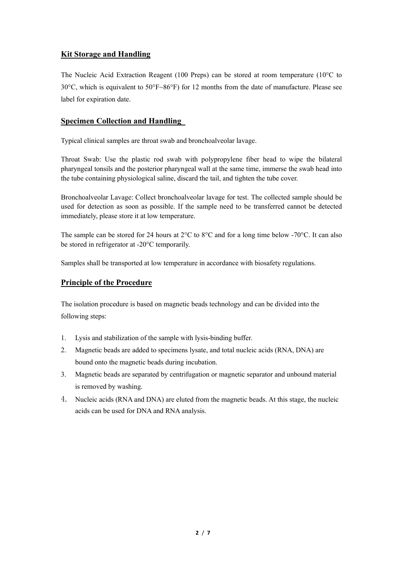# **Kit Storage and Handling**

The Nucleic Acid Extraction Reagent (100 Preps) can be stored at room temperature (10°C to 30°C, which is equivalent to 50°F~86°F) for 12 months from the date of manufacture. Please see label for expiration date.

# **Specimen Collection and Handling**

Typical clinical samples are throat swab and bronchoalveolar lavage.

Throat Swab: Use the plastic rod swab with polypropylene fiber head to wipe the bilateral pharyngeal tonsils and the posterior pharyngeal wall at the same time, immerse the swab head into the tube containing physiological saline, discard the tail, and tighten the tube cover.

Bronchoalveolar Lavage: Collect bronchoalveolar lavage for test. The collected sample should be used for detection as soon as possible. If the sample need to be transferred cannot be detected immediately, please store it at low temperature.

The sample can be stored for 24 hours at 2°C to 8°C and for a long time below -70°C. It can also be stored in refrigerator at -20°C temporarily.

Samples shall be transported at low temperature in accordance with biosafety regulations.

# **Principle of the Procedure**

The isolation procedure is based on magnetic beads technology and can be divided into the following steps:

- 1. Lysis and stabilization of the sample with lysis-binding buffer.
- 2. Magnetic beads are added to specimens lysate, and total nucleic acids (RNA, DNA) are bound onto the magnetic beads during incubation.
- 3. Magnetic beads are separated by centrifugation or magnetic separator and unbound material is removed by washing.
- 4. Nucleic acids (RNA and DNA) are eluted from the magnetic beads. At this stage, the nucleic acids can be used for DNA and RNA analysis.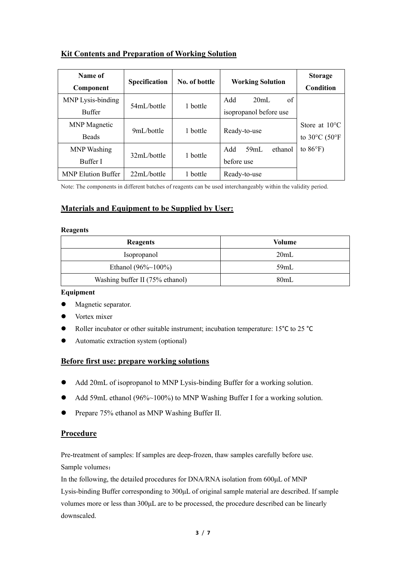# **Kit Contents and Preparation of Working Solution**

| Name of<br>Component      | <b>Specification</b> | No. of bottle | <b>Working Solution</b> | <b>Storage</b><br>Condition        |
|---------------------------|----------------------|---------------|-------------------------|------------------------------------|
| MNP Lysis-binding         | 54mL/bottle          | 1 bottle      | of<br>20mL<br>Add       |                                    |
| <b>Buffer</b>             |                      |               | isopropanol before use  |                                    |
| <b>MNP</b> Magnetic       | 9mL/bottle           | 1 bottle      | Ready-to-use            | Store at $10^{\circ}$ C            |
| <b>Beads</b>              |                      |               |                         | to $30^{\circ}$ C (50 $^{\circ}$ F |
| <b>MNP</b> Washing        |                      | 1 bottle      | 59mL<br>Add<br>ethanol  | to $86^{\circ}$ F)                 |
| Buffer I                  | 32mL/bottle          |               | before use              |                                    |
| <b>MNP Elution Buffer</b> | $22mL/b$ ottle       | 1 bottle      | Ready-to-use            |                                    |

Note: The components in different batches of reagents can be used interchangeably within the validity period.

# **Materials and Equipment to be Supplied by User:**

#### **Reagents**

| Reagents                        | Volume |
|---------------------------------|--------|
| <i>Isopropanol</i>              | 20mL   |
| Ethanol $(96\% \sim 100\%)$     | 59mL   |
| Washing buffer II (75% ethanol) | 80mL   |

#### **Equipment**

- $\bullet$  Magnetic separator.
- Vortex mixer
- Roller incubator or other suitable instrument; incubation temperature: 15<sup>o</sup>C to 25<sup>o</sup>C
- Automatic extraction system (optional)

#### **Before first use: prepare working solutions**

- Add 20mL of isopropanol to MNP Lysis-binding Buffer for a working solution.
- Add 59mL ethanol (96%~100%) to MNP Washing Buffer I for a working solution.
- Prepare 75% ethanol as MNP Washing Buffer II.

## **Procedure**

Pre-treatment of samples: If samples are deep-frozen, thaw samples carefully before use. Sample volumes:

In the following, the detailed procedures for DNA/RNA isolation from 600μL of MNP Lysis-binding Buffer corresponding to 300μL of original sample material are described. If sample volumes more or less than 300μL are to be processed, the procedure described can be linearly downscaled.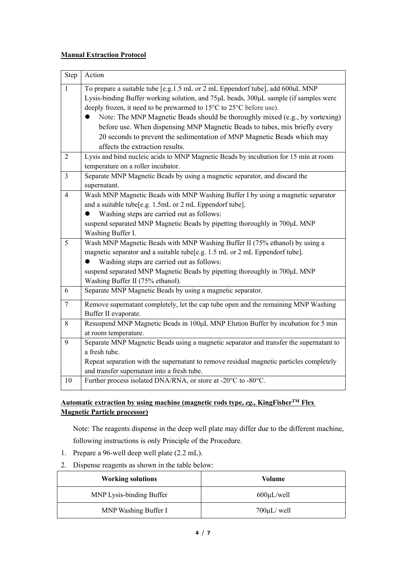# **Manual Extraction Protocol**

| Step           | Action                                                                                                                                                      |
|----------------|-------------------------------------------------------------------------------------------------------------------------------------------------------------|
| $\mathbf{1}$   | To prepare a suitable tube [e.g.1.5 mL or 2 mL Eppendorf tube], add 600uL MNP                                                                               |
|                | Lysis-binding Buffer working solution, and 75µL beads, 300µL sample (if samples were<br>deeply frozen, it need to be prewarmed to 15°C to 25°C before use). |
|                | Note: The MNP Magnetic Beads should be thoroughly mixed (e.g., by vortexing)                                                                                |
|                | before use. When dispensing MNP Magnetic Beads to tubes, mix briefly every                                                                                  |
|                | 20 seconds to prevent the sedimentation of MNP Magnetic Beads which may                                                                                     |
|                | affects the extraction results.                                                                                                                             |
| $\overline{2}$ | Lysis and bind nucleic acids to MNP Magnetic Beads by incubation for 15 min at room                                                                         |
|                | temperature on a roller incubator.                                                                                                                          |
| $\overline{3}$ | Separate MNP Magnetic Beads by using a magnetic separator, and discard the                                                                                  |
|                | supernatant.                                                                                                                                                |
| $\overline{4}$ | Wash MNP Magnetic Beads with MNP Washing Buffer I by using a magnetic separator                                                                             |
|                | and a suitable tube[e.g. 1.5mL or 2 mL Eppendorf tube].                                                                                                     |
|                | Washing steps are carried out as follows:                                                                                                                   |
|                | suspend separated MNP Magnetic Beads by pipetting thoroughly in 700µL MNP                                                                                   |
|                | Washing Buffer I.                                                                                                                                           |
| 5              | Wash MNP Magnetic Beads with MNP Washing Buffer II (75% ethanol) by using a<br>magnetic separator and a suitable tube[e.g. 1.5 mL or 2 mL Eppendorf tube].  |
|                | Washing steps are carried out as follows:                                                                                                                   |
|                | suspend separated MNP Magnetic Beads by pipetting thoroughly in 700µL MNP                                                                                   |
|                | Washing Buffer II (75% ethanol).                                                                                                                            |
| 6              | Separate MNP Magnetic Beads by using a magnetic separator.                                                                                                  |
| $\tau$         | Remove supernatant completely, let the cap tube open and the remaining MNP Washing                                                                          |
|                | Buffer II evaporate.                                                                                                                                        |
| 8              | Resuspend MNP Magnetic Beads in 100µL MNP Elution Buffer by incubation for 5 min                                                                            |
|                | at room temperature.                                                                                                                                        |
| 9              | Separate MNP Magnetic Beads using a magnetic separator and transfer the supernatant to                                                                      |
|                | a fresh tube.                                                                                                                                               |
|                | Repeat separation with the supernatant to remove residual magnetic particles completely                                                                     |
|                | and transfer supernatant into a fresh tube.                                                                                                                 |
| 10             | Further process isolated DNA/RNA, or store at -20°C to -80°C.                                                                                               |

# **Automatic extraction by using machine (magnetic rods type,** *eg.,* **KingFisherTM Flex Magnetic Particle processor)**

Note: The reagents dispense in the deep well plate may differ due to the different machine, following instructions is only Principle of the Procedure.

- 1. Prepare a 96-well deep well plate (2.2 mL).
- 2. Dispense reagents as shown in the table below:

| <b>Working solutions</b> | Volume           |  |
|--------------------------|------------------|--|
| MNP Lysis-binding Buffer | $600 \mu L/well$ |  |
| MNP Washing Buffer I     | $700 \mu L$ well |  |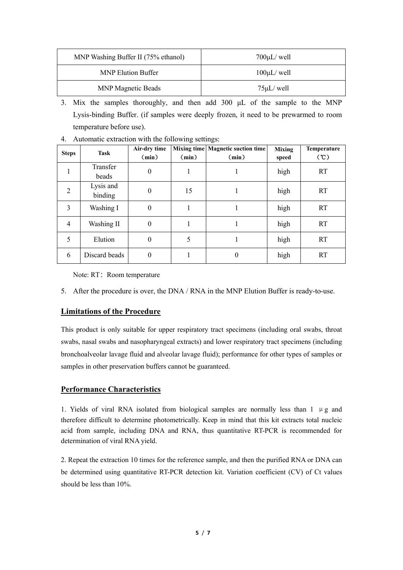| MNP Washing Buffer II (75% ethanol) | $700 \mu L$ well |
|-------------------------------------|------------------|
| <b>MNP Elution Buffer</b>           | $100 \mu L$ well |
| <b>MNP</b> Magnetic Beads           | $75 \mu L$ well  |

3. Mix the samples thoroughly, and then add 300  $\mu$ L of the sample to the MNP Lysis-binding Buffer. (if samples were deeply frozen, it need to be prewarmed to room temperature before use).

| <b>Steps</b>   | <b>Task</b>          | Air-dry time<br>(min) | (min) | Mixing time Magnetic suction time<br>(min) | <b>Mixing</b><br>speed | Temperature<br>(C) |
|----------------|----------------------|-----------------------|-------|--------------------------------------------|------------------------|--------------------|
|                | Transfer<br>beads    | $\boldsymbol{0}$      |       |                                            | high                   | <b>RT</b>          |
| $\overline{2}$ | Lysis and<br>binding | $\boldsymbol{0}$      | 15    |                                            | high                   | <b>RT</b>          |
| 3              | Washing I            | $\boldsymbol{0}$      |       |                                            | high                   | <b>RT</b>          |
| $\overline{4}$ | Washing II           | $\mathbf{0}$          |       |                                            | high                   | <b>RT</b>          |
| 5              | Elution              | $\mathbf{0}$          | 5     |                                            | high                   | <b>RT</b>          |
| 6              | Discard beads        | $\mathbf{0}$          |       | 0                                          | high                   | <b>RT</b>          |

4. Automatic extraction with the following settings:

Note: RT: Room temperature

5. After the procedure is over, the DNA / RNA in the MNP Elution Buffer is ready-to-use.

# **Limitations of the Procedure**

This product is only suitable for upper respiratory tract specimens (including oral swabs, throat swabs, nasal swabs and nasopharyngeal extracts) and lower respiratory tract specimens (including bronchoalveolar lavage fluid and alveolar lavage fluid); performance for other types of samples or samples in other preservation buffers cannot be guaranteed.

# **Performance Characteristics**

1. Yields of viral RNA isolated from biological samples are normally less than 1 μg and therefore difficult to determine photometrically. Keep in mind that this kit extracts total nucleic acid from sample, including DNA and RNA, thus quantitative RT-PCR is recommended for determination of viral RNA yield.

2. Repeat the extraction 10 times for the reference sample, and then the purified RNA or DNA can be determined using quantitative RT-PCR detection kit. Variation coefficient (CV) of Ct values should be less than 10%.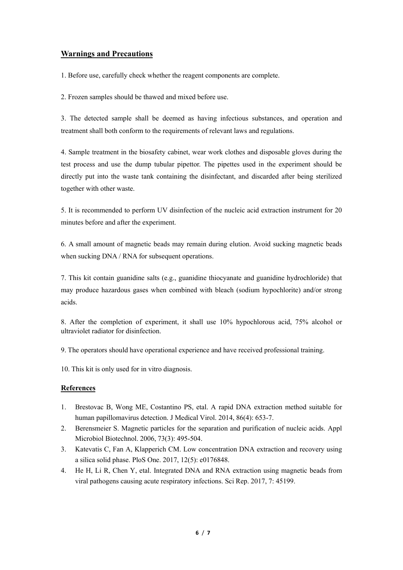# **Warnings and Precautions**

1. Before use, carefully check whether the reagent components are complete.

2. Frozen samples should be thawed and mixed before use.

3. The detected sample shall be deemed as having infectious substances, and operation and treatment shall both conform to the requirements of relevant laws and regulations.

4. Sample treatment in the biosafety cabinet, wear work clothes and disposable gloves during the test process and use the dump tubular pipettor. The pipettes used in the experiment should be directly put into the waste tank containing the disinfectant, and discarded after being sterilized together with other waste.

5. It is recommended to perform UV disinfection of the nucleic acid extraction instrument for 20 minutes before and after the experiment.

6. A small amount of magnetic beads may remain during elution. Avoid sucking magnetic beads when sucking DNA / RNA for subsequent operations.

7. This kit contain guanidine salts (e.g., guanidine thiocyanate and guanidine hydrochloride) that may produce hazardous gases when combined with bleach (sodium hypochlorite) and/or strong acids.

8. After the completion of experiment, it shall use 10% hypochlorous acid, 75% alcohol or ultraviolet radiator for disinfection.

9. The operators should have operational experience and have received professional training.

10. This kit is only used for in vitro diagnosis.

# **References**

- 1. Brestovac B, Wong ME, Costantino PS, etal. A rapid DNA extraction method suitable for human papillomavirus detection. J Medical Virol. 2014, 86(4): 653-7.
- 2. Berensmeier S. Magnetic particles for the separation and purification of nucleic acids. Appl Microbiol Biotechnol. 2006, 73(3): 495-504.
- 3. Katevatis C, Fan A, Klapperich CM. Low concentration DNA extraction and recovery using a silica solid phase. PloS One. 2017, 12(5): e0176848.
- 4. He H, Li R, Chen Y, etal. Integrated DNA and RNA extraction using magnetic beads from viral pathogens causing acute respiratory infections. Sci Rep. 2017, 7: 45199.